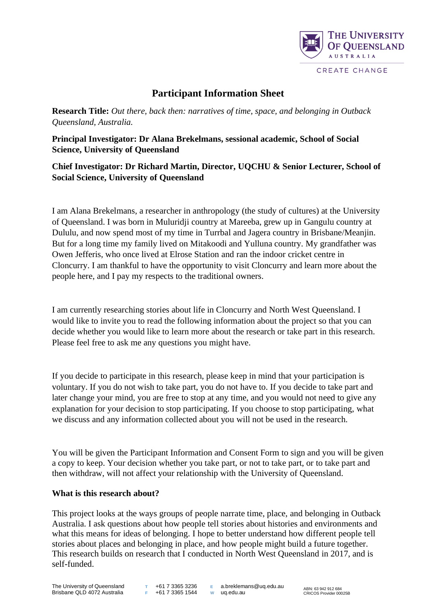

# **Participant Information Sheet**

**Research Title:** *Out there, back then: narratives of time, space, and belonging in Outback Queensland, Australia.* 

**Principal Investigator: Dr Alana Brekelmans, sessional academic, School of Social Science, University of Queensland**

**Chief Investigator: Dr Richard Martin, Director, UQCHU & Senior Lecturer, School of Social Science, University of Queensland**

I am Alana Brekelmans, a researcher in anthropology (the study of cultures) at the University of Queensland. I was born in Muluridji country at Mareeba, grew up in Gangulu country at Dululu, and now spend most of my time in Turrbal and Jagera country in Brisbane/Meanjin. But for a long time my family lived on Mitakoodi and Yulluna country. My grandfather was Owen Jefferis, who once lived at Elrose Station and ran the indoor cricket centre in Cloncurry. I am thankful to have the opportunity to visit Cloncurry and learn more about the people here, and I pay my respects to the traditional owners.

I am currently researching stories about life in Cloncurry and North West Queensland. I would like to invite you to read the following information about the project so that you can decide whether you would like to learn more about the research or take part in this research. Please feel free to ask me any questions you might have.

If you decide to participate in this research, please keep in mind that your participation is voluntary. If you do not wish to take part, you do not have to. If you decide to take part and later change your mind, you are free to stop at any time, and you would not need to give any explanation for your decision to stop participating. If you choose to stop participating, what we discuss and any information collected about you will not be used in the research.

You will be given the Participant Information and Consent Form to sign and you will be given a copy to keep. Your decision whether you take part, or not to take part, or to take part and then withdraw, will not affect your relationship with the University of Queensland.

## **What is this research about?**

This project looks at the ways groups of people narrate time, place, and belonging in Outback Australia. I ask questions about how people tell stories about histories and environments and what this means for ideas of belonging. I hope to better understand how different people tell stories about places and belonging in place, and how people might build a future together. This research builds on research that I conducted in North West Queensland in 2017, and is self-funded.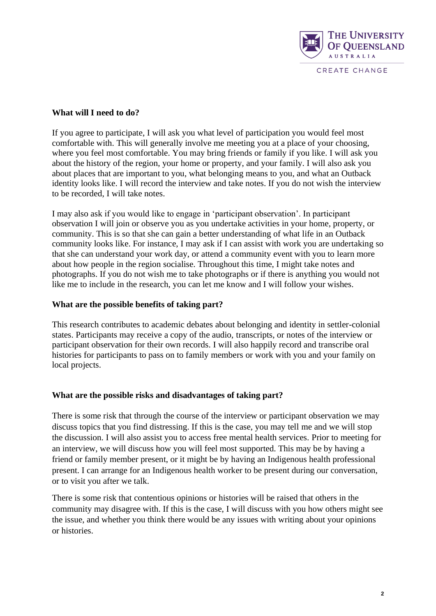

## **What will I need to do?**

If you agree to participate, I will ask you what level of participation you would feel most comfortable with. This will generally involve me meeting you at a place of your choosing, where you feel most comfortable. You may bring friends or family if you like. I will ask you about the history of the region, your home or property, and your family. I will also ask you about places that are important to you, what belonging means to you, and what an Outback identity looks like. I will record the interview and take notes. If you do not wish the interview to be recorded, I will take notes.

I may also ask if you would like to engage in 'participant observation'. In participant observation I will join or observe you as you undertake activities in your home, property, or community. This is so that she can gain a better understanding of what life in an Outback community looks like. For instance, I may ask if I can assist with work you are undertaking so that she can understand your work day, or attend a community event with you to learn more about how people in the region socialise. Throughout this time, I might take notes and photographs. If you do not wish me to take photographs or if there is anything you would not like me to include in the research, you can let me know and I will follow your wishes.

## **What are the possible benefits of taking part?**

This research contributes to academic debates about belonging and identity in settler-colonial states. Participants may receive a copy of the audio, transcripts, or notes of the interview or participant observation for their own records. I will also happily record and transcribe oral histories for participants to pass on to family members or work with you and your family on local projects.

## **What are the possible risks and disadvantages of taking part?**

There is some risk that through the course of the interview or participant observation we may discuss topics that you find distressing. If this is the case, you may tell me and we will stop the discussion. I will also assist you to access free mental health services. Prior to meeting for an interview, we will discuss how you will feel most supported. This may be by having a friend or family member present, or it might be by having an Indigenous health professional present. I can arrange for an Indigenous health worker to be present during our conversation, or to visit you after we talk.

There is some risk that contentious opinions or histories will be raised that others in the community may disagree with. If this is the case, I will discuss with you how others might see the issue, and whether you think there would be any issues with writing about your opinions or histories.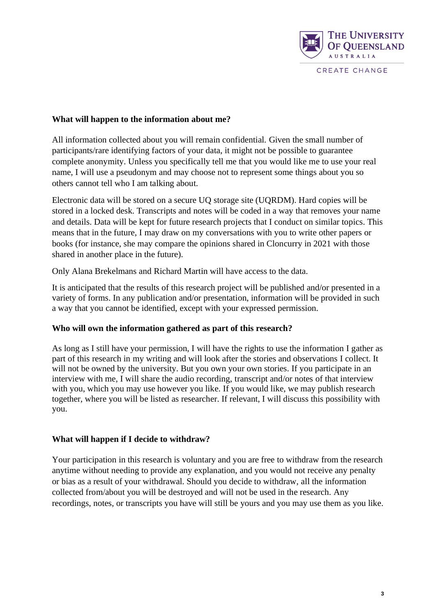

## **What will happen to the information about me?**

All information collected about you will remain confidential. Given the small number of participants/rare identifying factors of your data, it might not be possible to guarantee complete anonymity. Unless you specifically tell me that you would like me to use your real name, I will use a pseudonym and may choose not to represent some things about you so others cannot tell who I am talking about.

Electronic data will be stored on a secure UQ storage site (UQRDM). Hard copies will be stored in a locked desk. Transcripts and notes will be coded in a way that removes your name and details. Data will be kept for future research projects that I conduct on similar topics. This means that in the future, I may draw on my conversations with you to write other papers or books (for instance, she may compare the opinions shared in Cloncurry in 2021 with those shared in another place in the future).

Only Alana Brekelmans and Richard Martin will have access to the data.

It is anticipated that the results of this research project will be published and/or presented in a variety of forms. In any publication and/or presentation, information will be provided in such a way that you cannot be identified, except with your expressed permission.

# **Who will own the information gathered as part of this research?**

As long as I still have your permission, I will have the rights to use the information I gather as part of this research in my writing and will look after the stories and observations I collect. It will not be owned by the university. But you own your own stories. If you participate in an interview with me, I will share the audio recording, transcript and/or notes of that interview with you, which you may use however you like. If you would like, we may publish research together, where you will be listed as researcher. If relevant, I will discuss this possibility with you.

# **What will happen if I decide to withdraw?**

Your participation in this research is voluntary and you are free to withdraw from the research anytime without needing to provide any explanation, and you would not receive any penalty or bias as a result of your withdrawal. Should you decide to withdraw, all the information collected from/about you will be destroyed and will not be used in the research. Any recordings, notes, or transcripts you have will still be yours and you may use them as you like.